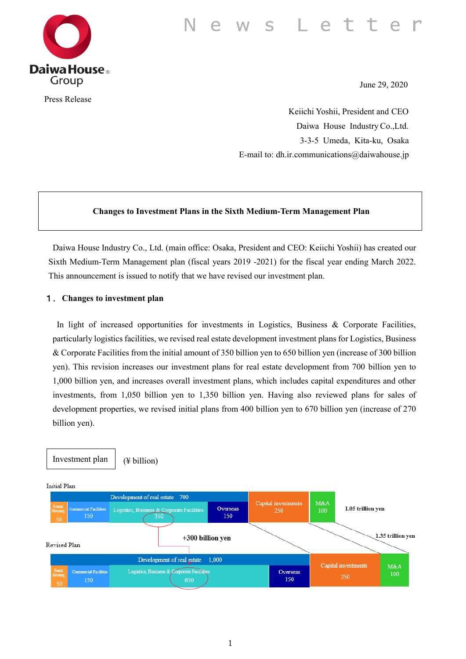#### s Lette W



Press Release

June 29, 2020

Keiichi Yoshii, President and CEO Daiwa House Industry Co.,Ltd. 3-3-5 Umeda, Kita-ku, Osaka E-mail to: dh.ir.communications@daiwahouse.jp

## **Changes to Investment Plans in the Sixth Medium-Term Management Plan**

Daiwa House Industry Co., Ltd. (main office: Osaka, President and CEO: Keiichi Yoshii) has created our Sixth Medium-Term Management plan (fiscal years 2019 -2021) for the fiscal year ending March 2022. This announcement is issued to notify that we have revised our investment plan.

## 1.**Changes to investment plan**

In light of increased opportunities for investments in Logistics, Business & Corporate Facilities, particularly logistics facilities, we revised real estate development investment plans for Logistics, Business & Corporate Facilities from the initial amount of 350 billion yen to 650 billion yen (increase of 300 billion yen). This revision increases our investment plans for real estate development from 700 billion yen to 1,000 billion yen, and increases overall investment plans, which includes capital expenditures and other investments, from 1,050 billion yen to 1,350 billion yen. Having also reviewed plans for sales of development properties, we revised initial plans from 400 billion yen to 670 billion yen (increase of 270 billion yen).

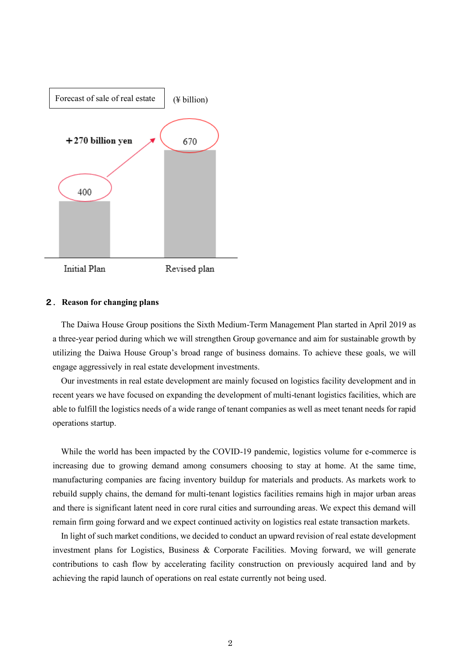

#### 2.**Reason for changing plans**

The Daiwa House Group positions the Sixth Medium-Term Management Plan started in April 2019 as a three-year period during which we will strengthen Group governance and aim for sustainable growth by utilizing the Daiwa House Group's broad range of business domains. To achieve these goals, we will engage aggressively in real estate development investments.

Our investments in real estate development are mainly focused on logistics facility development and in recent years we have focused on expanding the development of multi-tenant logistics facilities, which are able to fulfill the logistics needs of a wide range of tenant companies as well as meet tenant needs for rapid operations startup.

While the world has been impacted by the COVID-19 pandemic, logistics volume for e-commerce is increasing due to growing demand among consumers choosing to stay at home. At the same time, manufacturing companies are facing inventory buildup for materials and products. As markets work to rebuild supply chains, the demand for multi-tenant logistics facilities remains high in major urban areas and there is significant latent need in core rural cities and surrounding areas. We expect this demand will remain firm going forward and we expect continued activity on logistics real estate transaction markets.

In light of such market conditions, we decided to conduct an upward revision of real estate development investment plans for Logistics, Business & Corporate Facilities. Moving forward, we will generate contributions to cash flow by accelerating facility construction on previously acquired land and by achieving the rapid launch of operations on real estate currently not being used.